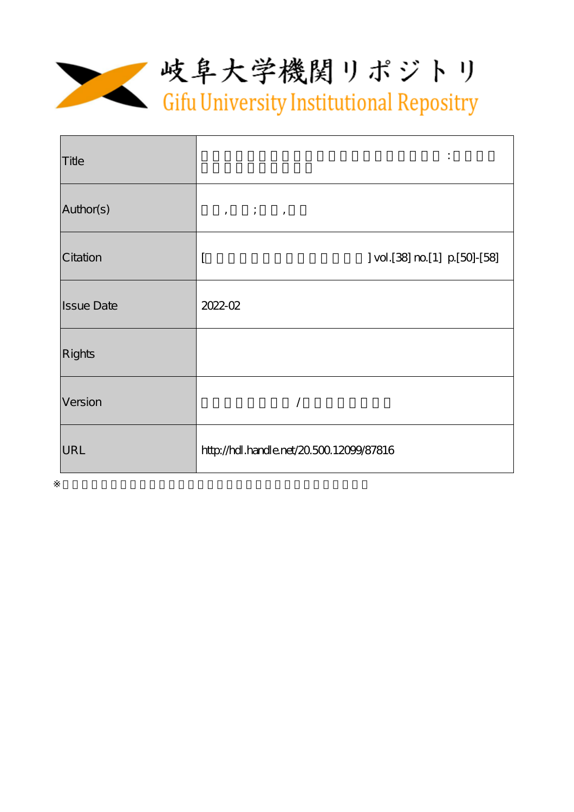

| Title             |                                                                                |
|-------------------|--------------------------------------------------------------------------------|
| Author(s)         | $\qquad \qquad \, , \qquad \quad \, \vdots \qquad \quad \, , \qquad \qquad \,$ |
| Citation          | vol.[38] m [1] p [50] - [58]                                                   |
| <b>Issue Date</b> | $2022-02$                                                                      |
| <b>Rights</b>     |                                                                                |
| Version           |                                                                                |
| URL               | http://hdl.handle.net/20.500.12099/87816                                       |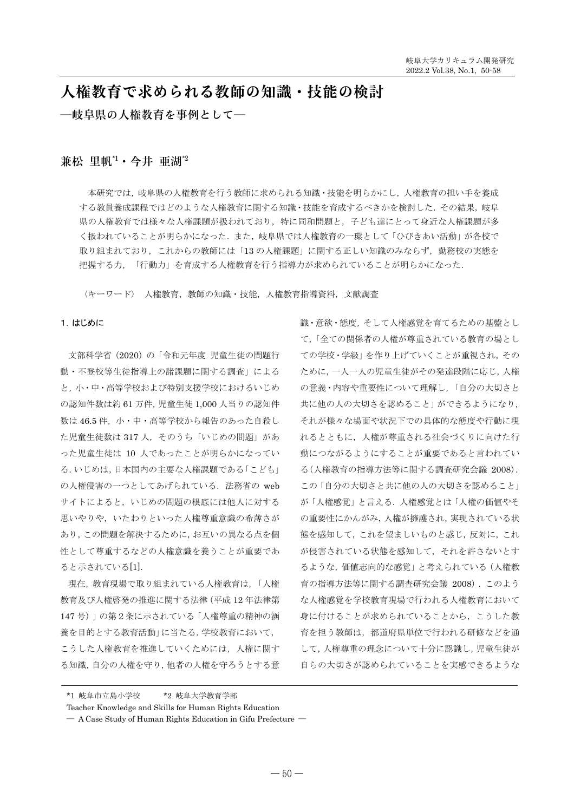# 人権教育で求められる教師の知識・技能の検討

一岐阜県の人権教育を事例として一

# 兼松 里帆 $1 \cdot 4$ 井 亜湖 $2$

本研究では、岐阜県の人権教育を行う教師に求められる知識・技能を明らかにし、人権教育の担い手を養成 する教員養成課程ではどのような人権教育に関する知識·技能を育成するべきかを検討した、その結果、岐阜 県の人権教育では様々な人権課題が扱われており、特に同和問題と、子ども達にとって身近な人権課題が多 く扱われていることが明らかになった。また、岐阜県では人権教育の一環として「ひびきあい活動」が各校で 取り組まれており、これからの教師には「13の人権課題」に関する正しい知識のみならず、勤務校の実態を 把握する力、「行動力」を育成する人権教育を行う指導力が求められていることが明らかになった.

〈キーワード〉 人権教育,教師の知識·技能,人権教育指導資料,文献調査

## 1. はじめに

文部科学省 (2020)の「令和元年度 児童生徒の問題行 動・不登校等生徒指導上の諸課題に関する調査」による と、小・中・高等学校および特別支援学校におけるいじめ の認知件数は約 61 万件, 児童生徒 1,000 人当りの認知件 数は46.5件、小·中·高等学校から報告のあった自殺し た児童生徒数は317人、そのうち「いじめの問題」があ った児童生徒は 10 人であったことが明らかになってい る. いじめは,日本国内の主要な人権課題である「こども」 の人権侵害の一つとしてあげられている. 法務省の web サイトによると、いじめの問題の根底には他人に対する 思いやりや、いたわりといった人権尊重意識の希薄さが あり、この問題を解決するために、お互いの異なる点を個 性として尊重するなどの人権意識を養うことが重要であ ると示されている[1].

現在, 教育現場で取り組まれている人権教育は,「人権 教育及び人権啓発の推進に関する法律(平成12年法律第 147号)」の第2条に示されている「人権尊重の精神の涵 養を目的とする教育活動」に当たる. 学校教育において, こうした人権教育を推進していくためには、人権に関す る知識, 自分の人権を守り, 他者の人権を守ろうとする意

識・意欲・態度、そして人権感覚を育てるための基盤とし て,「全ての関係者の人権が尊重されている教育の場とし ての学校・学級」を作り上げていくことが重視され、その ために、一人一人の児童生徒がその発達段階に応じ、人権 の意義·内容や重要性について理解し、「自分の大切さと 共に他の人の大切さを認めること」ができるようになり、 それが様々な場面や状況下での具体的な熊度や行動に現 れるとともに、人権が尊重される社会づくりに向けた行 動につながるようにすることが重要であると言われてい る(人権教育の指導方法等に関する調査研究会議 2008). この「自分の大切さと共に他の人の大切さを認めること」 が「人権感覚」と言える. 人権感覚とは「人権の価値やそ の重要性にかんがみ、人権が擁護され、実現されている状 態を感知して、これを望ましいものと感じ、反対に、これ が侵害されている状態を感知して、それを許さないとす るような、価値志向的な感覚」と考えられている(人権教 育の指導方法等に関する調査研究会議 2008). このよう な人権感覚を学校教育現場で行われる人権教育において 身に付けることが求められていることから、こうした教 育を担う教師は、都道府県単位で行われる研修などを通 して、人権尊重の理念について十分に認識し、児童生徒が 自らの大切さが認められていることを実感できるような

Teacher Knowledge and Skills for Human Rights Education

<sup>\*1</sup> 岐阜市立島小学校 \*2 岐阜大学教育学部

 $-$  A Case Study of Human Rights Education in Gifu Prefecture  $-$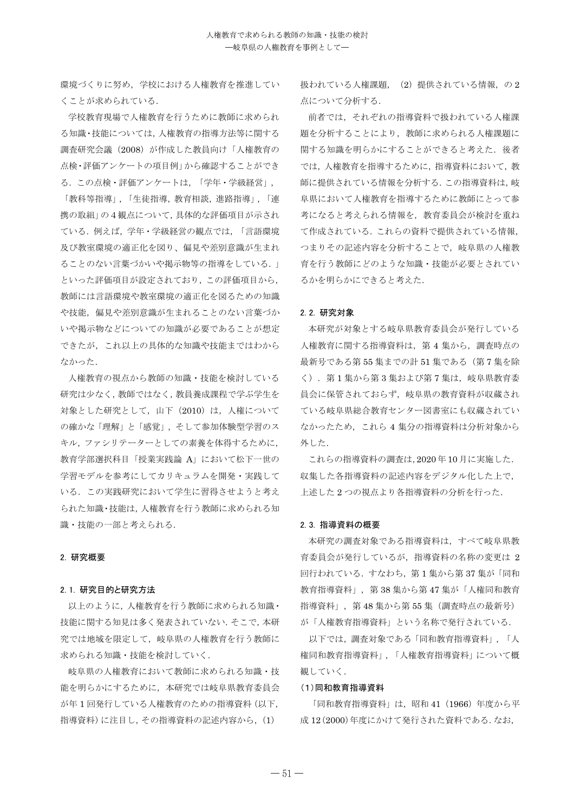環境づくりに努め、学校における人権教育を推進してい くことが求められている.

学校教育現場で人権教育を行うために教師に求められ る知識·技能については、人権教育の指導方法等に関する 調査研究会議 (2008) が作成した教員向け「人権教育の 点検・評価アンケートの項目例」から確認することができ る. この点検・評価アンケートは、「学年・学級経営」,

「教科等指導」, 「生徒指導, 教育相談, 進路指導」, 「連 携の取組」の4観点について、具体的な評価項目が示され ている。例えば、学年・学級経営の観点では、「言語環境 及び教室環境の適正化を図り、偏見や差別意識が生まれ ることのない言葉づかいや掲示物等の指導をしている.」 といった評価項目が設定されており、この評価項目から, 教師には言語環境や教室環境の適正化を図るための知識 や技能、偏見や差別意識が生まれることのない言葉づか いや掲示物などについての知識が必要であることが想定 できたが、これ以上の具体的な知識や技能まではわから なかった.

人権教育の視点から教師の知識·技能を検討している 研究は少なく、教師ではなく、教員養成課程で学ぶ学生を 対象とした研究として、山下 (2010) は、人権について の確かな「理解」と「感覚」、そして参加体験型学習のス キル、ファシリテーターとしての素養を体得するために, 教育学部選択科目「授業実践論 A」において松下一世の 学習モデルを参考にしてカリキュラムを開発・実践して いる。この実践研究において学生に習得させようと考え られた知識・技能は, 人権教育を行う教師に求められる知 識・技能の一部と考えられる.

### 2. 研究概要

#### 2. 1. 研究目的と研究方法

以上のように、人権教育を行う教師に求められる知識· 技能に関する知見は多く発表されていない. そこで、本研 究では地域を限定して、岐阜県の人権教育を行う教師に 求められる知識 · 技能を検討していく.

**岐阜県の人権教育において教師に求められる知識・技** 能を明らかにするために、本研究では岐阜県教育委員会 が年1回発行している人権教育のための指導資料 (以下. 指導資料)に注目し、その指導資料の記述内容から, (1)

扱われている人権課題, (2) 提供されている情報, の2 点について分析する.

前者では、それぞれの指導資料で扱われている人権課 題を分析することにより、教師に求められる人権課題に 関する知識を明らかにすることができると考えた。後者 では、人権教育を指導するために、指導資料において、教 師に提供されている情報を分析する. この指導資料は, 岐 阜県において人権教育を指道するために教師にとって参 考になると考えられる情報を、教育委員会が検討を重ね て作成されている。これらの資料で提供されている情報、 つまりその記述内容を分析することで、岐阜県の人権教 育を行う教師にどのような知識・技能が必要とされてい るかを明らかにできると考えた.

#### 2. 2. 研究対象

本研究が対象とする岐阜県教育委員会が発行している 人権教育に関する指導資料は、第4集から、調査時点の 最新号である第55 集までの計51 集である (第7集を除 く). 第1集から第3集および第7集は、岐阜県教育委 員会に保管されておらず、岐阜県の教育資料が収蔵され ている岐阜県総合教育センター図書室にも収蔵されてい なかったため、これら4集分の指導資料は分析対象から 外した.

これらの指導資料の調査は,2020年10月に実施した. 収集した各指導資料の記述内容をデジタル化した上で、 上述した2つの視点より各指導資料の分析を行った.

#### 2.3. 指導資料の概要

本研究の調査対象である指導資料は、すべて岐阜県教 育委員会が発行しているが、指導資料の名称の変更は 2 回行われている. すなわち、第1集から第37集が「同和 教育指導資料」, 第38集から第47集が「人権同和教育 指導資料」, 第48集から第55集 (調査時点の最新号) が「人権教育指導資料」という名称で発行されている.

以下では、調査対象である「同和教育指導資料」,「人 権同和教育指導資料」,「人権教育指導資料」について概 観していく.

#### (1) 同和教育指導資料

「同和教育指導資料」は、昭和41 (1966)年度から平 成 12 (2000)年度にかけて発行された資料である. なお.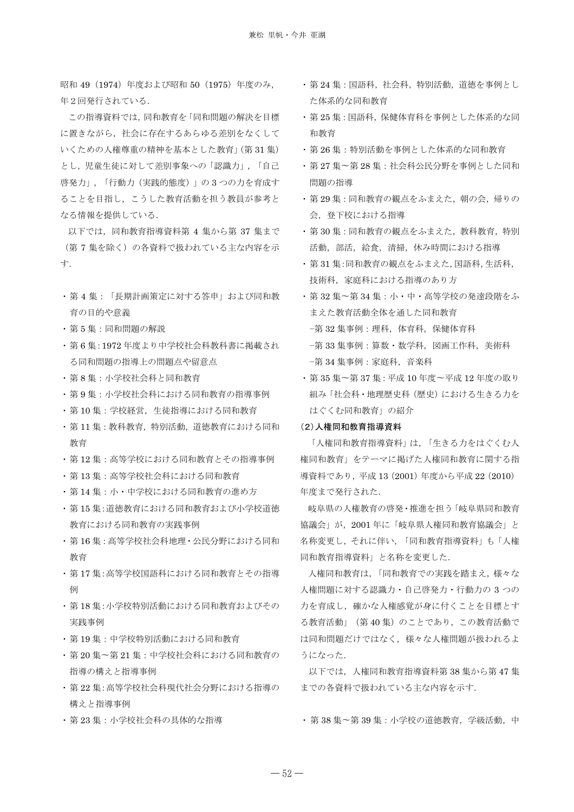昭和 49 (1974) 年度および昭和 50 (1975) 年度のみ, 年2回発行されている.

この指導資料では、同和教育を「同和問題の解決を目標 に置きながら、社会に存在するあらゆる差別をなくして いくための人権尊重の精神を基本とした教育」(第31集) とし、児童生徒に対して差別事象への「認識力」、「自己」 啓発力」,「行動力(実践的態度)」の3つの力を育成す ることを目指し、こうした教育活動を担う教員が参考と なる情報を提供している.

以下では、同和教育指導資料第4集から第37集まで (第7集を除く)の各資料で扱われている主な内容を示 寸.

- •第4集:「長期計画策定に対する答申」および同和教 育の目的や意義
- ・第5集:同和問題の解説
- ・第6集:1972年度より中学校社会科教科書に掲載され る同和問題の指導上の問題点や留意点
- · 第8集: 小学校社会科と同和教育
- •第9集:小学校社会科における同和教育の指導事例
- ・第10集:学校経営、生徒指導における同和教育
- ・第11集:教科教育、特別活動、道徳教育における同和 教育
- •第12集:高等学校における同和教育とその指導事例
- ・第13集: 高等学校社会科における同和教育
- •第14集:小・中学校における同和教育の進め方
- ・第15 集:道徳教育における同和教育および小学校道徳 教育における同和教育の実践事例
- ・第16 集 : 高等学校社会科地理・公民分野における同和 教育
- •第17集:高等学校国語科における同和教育とその指導 /玩
- •第18集:小学校特別活動における同和教育およびその 実践事例
- •第19集:中学校特別活動における同和教育
- ・第20集~第21集:中学校社会科における同和教育の 指導の構えと指導事例
- ・第22集:高等学校社会科現代社会分野における指導の 構えと指導事例
- 第23集: 小学校社会科の具体的な指導
- ・第24集:国語科,社会科,特別活動,道徳を事例とし た体系的な同和教育
- ・第25集:国語科, 保健体育科を事例とした体系的な同 和教育
- ・第26集:特別活動を事例とした体系的な同和教育
- · 第 27 集~第 28 集 : 社会科公民分野を事例とした同和 問題の指導
- •第29集:同和教育の観点をふまえた、朝の会、帰りの 会、登下校における指導
- ・第30集:同和教育の観点をふまえた、教科教育、特別 活動, 部活, 給食, 清掃, 休み時間における指導
- ・第31集:同和教育の観点をふまえた,国語科,生活科, 技術科、家庭科における指導のあり方
- ・第32 集~第34 集: 小・中・高等学校の発達段階をふ まえた教育活動全体を通した同和教育 -第 32 集事例: 理科, 体育科, 保健体育科 -第33 集事例: 算数 · 数学科, 図画工作科, 美術科 -第 34 集事例:家庭科,音楽科
- ・第35集~第37集:平成10年度~平成12年度の取り 組み「社会科・地理歴史科 (歴史) における生きる力を はぐくむ同和教育」の紹介

#### (2) 人権同和教育指導資料

「人権同和教育指導資料」は、「生きる力をはぐくむ人 権同和教育」をテーマに掲げた人権同和教育に関する指 導資料であり, 平成 13 (2001) 年度から平成 22 (2010) 年度まで発行された.

岐阜県の人権教育の啓発・推進を担う「岐阜県同和教育 協議会」が、2001年に「岐阜県人権同和教育協議会」と 名称変更し、それに伴い、「同和教育指導資料」も「人権 同和教育指導資料」と名称を変更した.

人権同和教育は、「同和教育での実践を踏まえ、様々な 人権問題に対する認識力·自己啓発力·行動力の3つの 力を育成し、確かな人権感覚が身に付くことを目標とす る教育活動」(第40集)のことであり、この教育活動で は同和問題だけではなく、様々な人権問題が扱われるよ うになった.

以下では、人権同和教育指導資料第38集から第47集 までの各資料で扱われている主な内容を示す.

・第38集~第39集:小学校の道徳教育, 学級活動, 中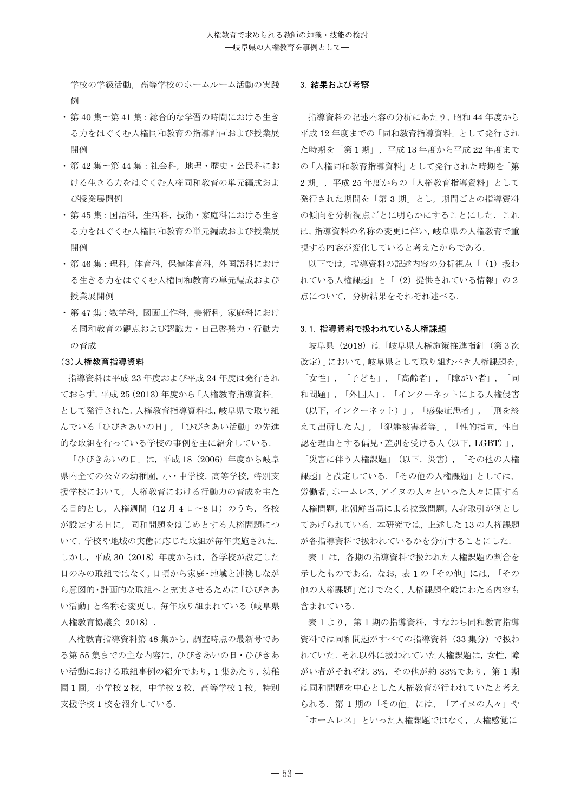学校の学級活動、高等学校のホームルーム活動の実践 例

- •第40集~第41集:総合的な学習の時間における生き る力をはぐくれ人権同和教育の指導計画および授業展 開例
- ・第42 集~第44 集: 社会科, 地理·歴史·公民科にお ける生きる力をはぐくむ人権同和教育の単元編成およ ᤵᴗᒎ㛤ࡧ
- •第45集:国語科、生活科、技術·家庭科における生き る力をはぐくむ人権同和教育の単元編成および授業展 開例
- ・第46集:理科,体育科,保健体育科,外国語科におけ る生きる力をはぐくむ人権同和教育の単元編成および 授業展開例
- ・第47 集: 数学科, 図画工作科, 美術科, 家庭科におけ る同和教育の観点および認識力・自己啓発力・行動力 の育成

#### (3) 人権教育指導資料

指導資料は平成 23 年度および平成 24 年度は発行され ておらず, 平成 25 (2013) 年度から「人権教育指導資料」 として発行された. 人権教育指導資料は、岐阜県で取り組 んでいる「ひびきあいの日」、「ひびきあい活動」の先進 的な取組を行っている学校の事例を主に紹介している.

「ひびきあいの日」は、平成18 (2006) 年度から岐阜 県内全ての公立の幼稚園, 小·中学校, 高等学校, 特別支 **援学校において、人権教育における行動力の育成を主た** る目的とし、人権週間 (12月4日~8日)のうち、各校 が設定する日に、同和問題をはじめとする人権問題につ いて、学校や地域の実態に応じた取組が毎年実施された. しかし、 平成 30 (2018) 年度からは、各学校が設定した 日のみの取組ではなく、日頃から家庭・地域と連携しなが ら意図的・計画的な取組へと充実させるために「ひびきあ い活動」と名称を変更し、毎年取り組まれている(岐阜県 人権教育協議会 2018).

人権教育指導資料第48集から、調査時点の最新号であ る第55集までの主な内容は、ひびきあいの日·ひびきあ い活動における取組事例の紹介であり、1集あたり、幼稚 園 1 園, 小学校 2 校, 中学校 2 校, 高等学校 1 校, 特別 支援学校1校を紹介している.

#### 3. 結果および考察

指導資料の記述内容の分析にあたり、昭和44年度から 平成 12 年度までの「同和教育指導資料」として発行され た時期を「第1期」,平成13年度から平成22年度まで の「人権同和教育指道資料」として発行された時期を「第 2期」, 平成25年度からの「人権教育指導資料」として 発行された期間を「第3期」とし、期間ごとの指導資料 の傾向を分析視点ごとに明らかにすることにした。これ は、指導資料の名称の変更に伴い、岐阜県の人権教育で重 視する内容が変化していると考えたからである.

以下では、指導資料の記述内容の分析視点「(1) 扱わ れている人権課題」と「(2) 提供されている情報」の2 点について、分析結果をそれぞれ述べる.

#### 3.1. 指導資料で扱われている人権課題

岐阜県 (2018) は「岐阜県人権施策推進指針 (第3次 改定)」において、岐阜県として取り組むべき人権課題を, 「女性」, 「子ども」, 「高齢者」, 「障がい者」, 「同 和問題」,「外国人」,「インターネットによる人権侵害 (以下, インターネット)」, 「感染症患者」, 「刑を終 えて出所した人」,「犯罪被害者等」,「性的指向,性自 認を理由とする偏見·差別を受ける人(以下, LGBT)」, 「災害に伴う人権課題」(以下、災害)、「その他の人権 課題」と設定している. 「その他の人権課題」としては, 労働者 ホームレス アイヌの人々といった人々に関する 人権問題, 北朝鮮当局による拉致問題, 人身取引が例とし てあげられている. 本研究では、上述した13の人権課題 が各指導資料で扱われているかを分析することにした.

表 1 は、各期の指導資料で扱われた人権課題の割合を 示したものである. なお、表1の「その他」には、「その 他の人権課題」だけでなく、人権課題全般にわたる内容も 含まれている.

表1より、第1期の指導資料、すなわち同和教育指導 資料では同和問題がすべての指導資料 (33集分)で扱わ れていた. それ以外に扱われていた人権課題は、女性、障 がい者がそれぞれ 3%. その他が約 33%であり. 第1期 は同和問題を中心とした人権教育が行われていたと考え られる. 第1期の「その他」には、「アイヌの人々」や 「ホームレス」といった人権課題ではなく、人権感覚に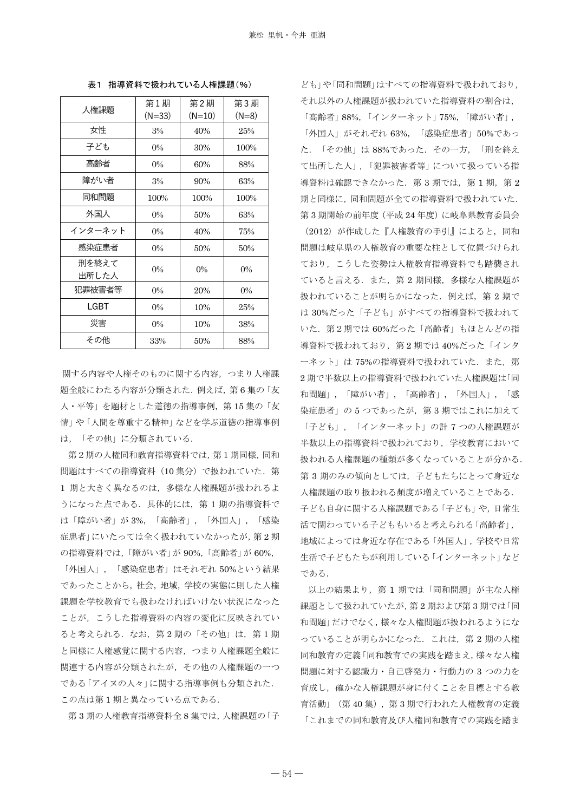| 人権課題           | 第1期<br>$(N=33)$ | 第2期<br>$(N=10)$ | 第3期<br>$(N=8)$ |
|----------------|-----------------|-----------------|----------------|
| 女性             | 3%              | 40%             | 25%            |
| 子ども            | $0\%$           | 30%             | 100%           |
| 高齢者            | $0\%$           | 60%             | 88%            |
| 障がい者           | 3%              | 90%             | 63%            |
| 同和問題           | 100%            | 100%            | 100%           |
| 外国人            | $0\%$           | 50%             | 63%            |
| インターネット        | $0\%$           | 40%             | 75%            |
| 感染症患者          | $0\%$           | 50%             | 50%            |
| 刑を終えて<br>出所した人 | $0\%$           | $0\%$           | $0\%$          |
| 犯罪被害者等         | $0\%$           | 20%             | $0\%$          |
| LGBT           | $0\%$           | 10%             | 25%            |
| 災害             | $0\%$           | 10%             | 38%            |
| その他            | 33%             | 50%             | 88%            |

表1 指導資料で扱われている人権課題(%)

関する内容や人権そのものに関する内容、つまり人権課 頴全般にわたる内容が分類された。例えば、第6集の「友 人·平等」を題材とした道徳の指導事例、第15集の「友 情」や「人間を尊重する精神」などを学ぶ道徳の指導事例 は、「その他」に分類されている.

第2期の人権同和教育指導資料では、第1期同様,同和 問題はすべての指導資料 (10 集分) で扱われていた. 第 1 期と大きく異なるのは、多様な人権課題が扱われるよ うになった点である。具体的には、第1期の指導資料で は「障がい者」が3%, 「高齢者」,「外国人」,「感染 症患者」にいたっては全く扱われていなかったが、第2期 の指導資料では、「障がい者」が 90%,「高齢者」が 60%,

「外国人」,「感染症患者」はそれぞれ 50%という結果 であったことから、社会、地域、学校の実態に則した人権 課題を学校教育でも扱わなければいけない状況になった ことが、こうした指導資料の内容の変化に反映されてい ると考えられる. なお、第2期の「その他」は、第1期 と同様に人権感覚に関する内容、つまり人権課題全般に 関連する内容が分類されたが、その他の人権課題の一つ である「アイヌの人々」に関する指導事例も分類された. この点は第1期と異なっている点である.

第3期の人権教育指導資料全8集では、人権課題の「子

ども」や「同和問題」はすべての指導資料で扱われており、 それ以外の人権課題が扱われていた指導資料の割合は,

「高齢者」88%,「インターネット」75%,「障がい者」, 「外国人」がそれぞれ 63%, 「感染症患者」50%であっ た. 「その他」は88%であった. その一方, 「刑を終え て出所した人」、「犯罪被害者等」について扱っている指 導資料は確認できなかった. 第3期では、第1期、第2 期と同様に、同和問題が全ての指導資料で扱われていた. 第3期開始の前年度 (平成 24 年度)に岐阜県教育委員会

(2012) が作成した『人権教育の手引』によると、同和 問題は岐阜県の人権教育の重要な柱として位置づけられ ており、こうした姿勢は人権教育指導資料でも踏襲され ていると言える. また、第2期同様、多様な人権課題が 扱われていることが明らかになった. 例えば、第2期で は 30%だった「子ども」がすべての指導資料で扱われて いた. 第2期では60%だった「高齢者」もほとんどの指 導資料で扱われており、第2期では40%だった「インタ ーネット」は75%の指導資料で扱われていた. また、第 2期で半数以上の指導資料で扱われていた人権課題は「同 和問題」,「障がい者」,「高齢者」,「外国人」,「感 染症患者」の5つであったが、第3期ではこれに加えて 「子ども」,「インターネット」の計7つの人権課題が 半数以上の指導資料で扱われており、学校教育において 扱われる人権課題の種類が多くなっていることが分かる. 第3期のみの傾向としては、子どもたちにとって身近な 人権課題の取り扱われる頻度が増えていることである. 子ども自身に関する人権課題である「子ども」や、日常生 活で関わっている子どももいると考えられる「高齢者」, 地域によっては身近な存在である「外国人」,学校や日常 生活で子どもたちが利用している「インターネット」など である.

以上の結果より、第1期では「同和問題」が主な人権 課題として扱われていたが、第2期および第3期では「同 和問題」だけでなく、様々な人権問題が扱われるようにな っていることが明らかになった. これは、第2期の人権 同和教育での実践を踏まえ、様々な人権 問題に対する認識力·自己啓発力·行動力の 3 つの力を 育成し、確かな人権課題が身に付くことを目標とする教 音活動」 (第40集)、第3期で行われた人権教育の定義 「これまでの同和教育及び人権同和教育での実践を踏ま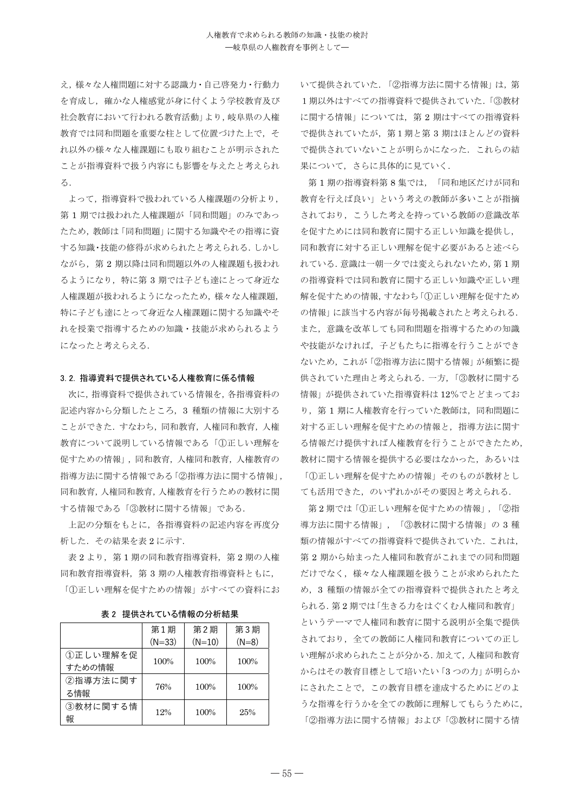え、様々な人権問題に対する認識力・自己啓発力・行動力 を育成し、確かな人権感覚が身に付くよう学校教育及び 社会教育において行われる教育活動」より,岐阜県の人権 教育では同和問題を重要な柱として位置づけた上で、そ れ以外の様々な人権課題にも取り組むことが明示された ことが指道資料で扱う内容にも影響を与えたと考えられ  $\delta$ .

よって、指導資料で扱われている人権課題の分析より, 第1期では扱われた人権課題が「同和問題」のみであっ たため、教師は「同和問題」に関する知識やその指導に資 する知識·技能の修得が求められたと考えられる. しかし ながら、第2期以降は同和問題以外の人権課題も扱われ るようになり、特に第3期では子ども達にとって身近な 人権課題が扱われるようになったため、様々な人権課題, 特に子ども達にとって身近な人権課題に関する知識やそ れを授業で指導するための知識・技能が求められるよう になったと考えらえる.

## 3.2. 指導資料で提供されている人権教育に係る情報

次に、指導資料で提供されている情報を、各指導資料の 記述内容から分類したところ、3 種類の情報に大別する ことができた. すなわち, 同和教育, 人権同和教育, 人権 教育について説明している情報である「①正しい理解を 促すための情報」,同和教育,人権同和教育,人権教育の 指導方法に関する情報である「2指導方法に関する情報」, 同和教育, 人権同和教育, 人権教育を行うための教材に関 する情報である「③教材に関する情報」である.

上記の分類をもとに、各指導資料の記述内容を再度分 析した. その結果を表2に示す.

表 2 より、第1期の同和教育指導資料、第2期の人権 同和教育指導資料, 第3期の人権教育指導資料ともに, 「①正しい理解を促すための情報」がすべての資料にお

表2 提供されている情報の分析結果

|          | 第1期      | 第2期      | 第3期     |
|----------|----------|----------|---------|
|          | $(N=33)$ | $(N=10)$ | $(N=8)$ |
| ①正しい理解を促 | 100%     | 100%     | 100%    |
| すための情報   |          |          |         |
| ②指導方法に関す | 76%      | 100%     | 100%    |
| る情報      |          |          |         |
| ③教材に関する情 |          |          |         |
| 報        | 12%      | 100%     | 25%     |

いて提供されていた. 「2指導方法に関する情報」は、第 1期以外はすべての指導資料で提供されていた.「3教材 に関する情報」については、第2期はすべての指導資料 で提供されていたが、第1期と第3期はほとんどの資料 で提供されていないことが明らかになった。これらの結 果について、さらに具体的に見ていく、

第1期の指導資料第8集では、「同和地区だけが同和 教育を行えば良い」という考えの教師が多いことが指摘 されており、こうした考えを持っている教師の意識改革 を促すためには同和教育に関する正しい知識を提供し, 同和教育に対する正しい理解を促す必要があると述べら れている. 意識は一朝一夕では変えられないため、第1期 の指導資料では同和教育に関する正しい知識や正しい理 解を促すための情報、すなわち「①正しい理解を促すため の情報」に該当する内容が毎号掲載されたと考えられる. また、意識を改革しても同和問題を指導するための知識 や技能がなければ、子どもたちに指導を行うことができ ないため、これが「②指導方法に関する情報」が頻繁に提 供されていた理由と考えられる. 一方,「3数材に関する 情報」が提供されていた指導資料は12%でとどまってお り、第1期に人権教育を行っていた教師は、同和問題に 対する正しい理解を促すための情報と、指導方法に関す る情報だけ提供すれば人権教育を行うことができたため, 教材に関する情報を提供する必要はなかった、あるいは 「①正しい理解を促すための情報」そのものが教材とし ても活用できた、のいずれかがその要因と考えられる.

第2期では「①正しい理解を促すための情報」,「②指 導方法に関する情報」,「③教材に関する情報」の3種 類の情報がすべての指導資料で提供されていた. これは, 第2期から始まった人権同和教育がこれまでの同和問題 だけでなく、様々な人権課題を扱うことが求められたた め、3 種類の情報が全ての指導資料で提供されたと考え られる. 第2期では「生きる力をはぐくむ人権同和教育」 というテーマで人権同和教育に関する説明が全集で提供 されており、全ての教師に人権同和教育についての正し い理解が求められたことが分かる. 加えて、人権同和教育 からはその教育目標として培いたい「3つの力」が明らか にされたことで、この教育目標を達成するためにどのよ うな指導を行うかを全ての教師に理解してもらうために、 「②指導方法に関する情報」および「3教材に関する情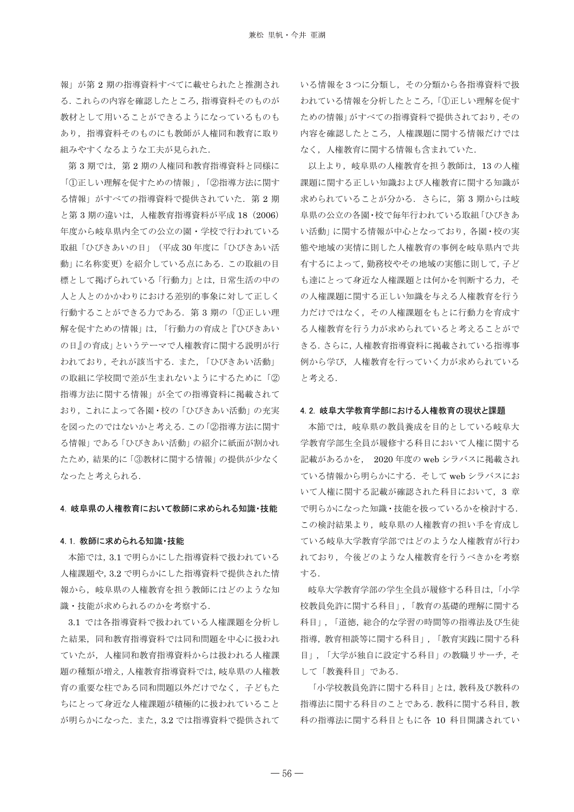報」が第2期の指導資料すべてに載せられたと推測され る. これらの内容を確認したところ, 指導資料そのものが 教材として用いることができるようになっているものも あり、指導資料そのものにも教師が人権同和教育に取り 組みやすくなるような工夫が見られた.

第3期では、第2期の人権同和教育指導資料と同様に 「①正しい理解を促すための情報」,「②指導方法に関す る情報」がすべての指導資料で提供されていた. 第2期 と第3期の違いは、人権教育指導資料が平成 18 (2006) 年度から岐阜県内全ての公立の園・学校で行われている 取組「ひびきあいの日」 (平成30年度に「ひびきあい活 動」に名称変更)を紹介している点にある。この取組の目 標として掲げられている「行動力」とは、日常生活の中の 人と人とのかかわりにおける差別的事象に対して正しく 行動することができる力である. 第3期の「1正しい理 解を促すための情報」は、「行動力の育成と『ひびきあい の日』の育成」というテーマで人権教育に関する説明が行 われており、それが該当する. また、「ひびきあい活動」 の取組に学校間で差が生まれないようにするために「② 指導方法に関する情報」が全ての指導資料に掲載されて おり、これによって各園·校の「ひびきあい活動」の充実 を図ったのではないかと考える. この「2指導方法に関す る情報」である「ひびきあい活動」の紹介に紙面が割かれ たため、結果的に「3教材に関する情報」の提供が少なく なったと考えられる.

#### 4. 岐阜県の人権教育において教師に求められる知識・技能

#### 4.1. 教師に求められる知識・技能

本節では、3.1 で明らかにした指導資料で扱われている 人権課題や、3.2 で明らかにした指導資料で提供された情 報から、岐阜県の人権教育を担う教師にはどのような知 識 · 技能が求められるのかを考察する.

3.1 では各指導資料で扱われている人権課題を分析し た結果、同和教育指導資料では同和問題を中心に扱われ ていたが、人権同和教育指導資料からは扱われる人権課 題の種類が増え、人権教育指導資料では、 岐阜県の人権教 育の重要な柱である同和問題以外だけでなく、子どもた ちにとって身近な人権課題が積極的に扱われていること が明らかになった. また、3.2 では指導資料で提供されて

いる情報を3つに分類し、その分類から各指導資料で扱 われている情報を分析したところ、「1正しい理解を促す ための情報」がすべての指導資料で提供されており、その 内容を確認したところ、人権課題に関する情報だけでは なく、人権教育に関する情報も含まれていた.

以上より、岐阜県の人権教育を担う教師は、13の人権 課題に関する正しい知識および人権教育に関する知識が 求められていることが分かる。 さらに、第3期からは岐 阜県の公立の各園・校で毎年行われている取組「ひびきあ い活動」に関する情報が中心となっており、各園·校の実 態や地域の実情に則した人権教育の事例を岐阜県内で共 有するによって, 勤務校やその地域の実態に則して, 子ど も達にとって身近な人権課題とは何かを判断する力、そ の人権課題に関する正しい知識を与える人権教育を行う 力だけではなく、その人権課題をもとに行動力を育成す る人権教育を行う力が求められていると考えることがで きる. さらに, 人権教育指導資料に掲載されている指導事 例から学び、人権教育を行っていく力が求められている と考える.

#### 4.2. 岐阜大学教育学部における人権教育の現状と課題

本節では、岐阜県の教員養成を目的としている岐阜大 学教育学部生全員が履修する科目において人権に関する 記載があるかを、 2020 年度の web シラバスに掲載され ている情報から明らかにする. そして web シラバスにお いて人権に関する記載が確認された科目において、3 章 で明らかになった知識 · 技能を扱っているかを検討する. この検討結果より、岐阜県の人権教育の担い手を育成し ている岐阜大学教育学部ではどのような人権教育が行わ れており、今後どのような人権教育を行うべきかを考察 する.

岐阜大学教育学部の学生全員が履修する科目は、「小学 校教員免許に関する科目」,「教育の基礎的理解に関する 科目」、「道徳、総合的な学習の時間等の指導法及び生徒 指導, 教育相談等に関する科目」,「教育実践に関する科 目」、「大学が独自に設定する科目」の教職リサーチ、そ して「教養科目」である.

「小学校教員免許に関する科目」とは、教科及び教科の 指導法に関する科目のことである. 教科に関する科目. 教 科の指導法に関する科目ともに各 10 科目開講されてい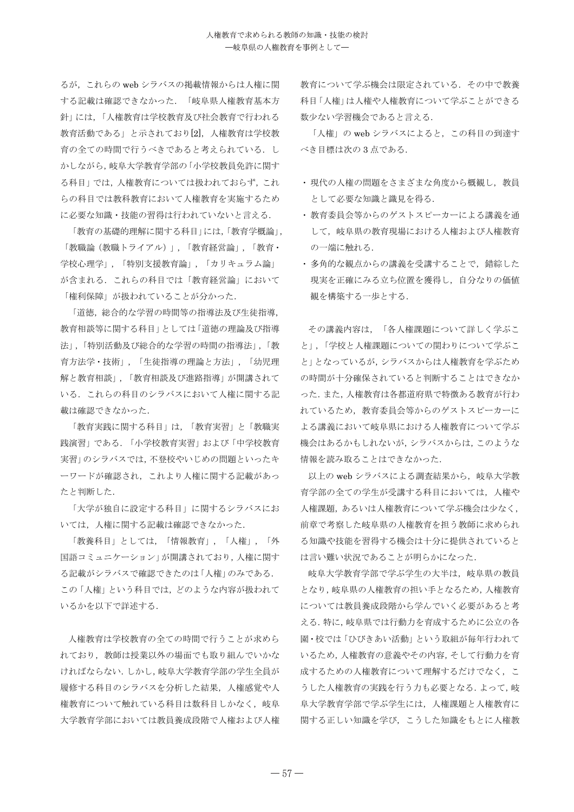るが、これらの web シラバスの掲載情報からは人権に関 する記載は確認できなかった。「岐阜県人権教育基本方 針」には、「人権教育は学校教育及び社会教育で行われる 教育活動である」と示されており[2]、人権教育は学校教 育の全ての時間で行うべきであると考えられている。し かしながら、岐阜大学教育学部の「小学校教員免許に関す る科目 では、人権教育については扱われておらず、これ らの科目では教科教育において人権教育を実施するため に必要な知識·技能の習得は行われていないと言える.

「教育の基礎的理解に関する科目」には、「教育学概論」, 「教職論 (教職トライアル)」,「教育経営論」,「教育· 学校心理学」,「特別支援教育論」,「カリキュラム論」 が含まれる. これらの科目では「教育経営論」において 「権利保障」が扱われていることが分かった.

「道徳、総合的な学習の時間等の指導法及び生徒指導, 教育相談等に関する科目」としては「道徳の理論及び指導 法」,「特別活動及び総合的な学習の時間の指導法」,「教 育方法学・技術」、「生徒指導の理論と方法」、「幼児理 解と教育相談」、「教育相談及び進路指導」が開講されて いる。これらの科目のシラバスにおいて人権に関する記 載は確認できなかった.

「教育実践に関する科目」は、「教育実習」と「教職実 践演習」である. 「小学校教育実習」および「中学校教育 実習」のシラバスでは、不登校やいじめの問題といったキ ーワードが確認され、これより人権に関する記載があっ たと判断した。

「大学が独自に設定する科目」に関するシラバスにお いては、人権に関する記載は確認できなかった.

「教養科目」としては,「情報教育」,「人権」,「外 国語コミュニケーション|が開講されており、人権に関す る記載がシラバスで確認できたのは「人権」のみである. この「人権」という科目では、どのような内容が扱われて いるかを以下で詳述する.

人権教育は学校教育の全ての時間で行うことが求めら れており、教師は授業以外の場面でも取り組んでいかな ければならない. しかし. 岐阜大学教育学部の学生全員が 履修する科目のシラバスを分析した結果、人権感覚や人 権教育について触れている科目は教科目しかなく、岐阜 大学教育学部においては教員養成段階で人権および人権

教育について学ぶ機会は限定されている。その中で教養 科目「人権」は人権や人権教育について学ぶことができる 数少ない学習機会であると言える.

「人権」の web シラバスによると、この科目の到達す べき目標は次の3点である.

- 現代の人権の問題をさまざまな角度から概観し、教員 として必要な知識と識見を得る。
- 教育委員会等からのゲストスピーカーによる講義を通 して、岐阜県の教育現場における人権および人権教育 の一端に触れる.
- 多角的な観点からの講義を受講することで、錯綜した 現実を正確にみる立ち位置を獲得し、自分なりの価値 観を構築する一歩とする.

その講義内容は、「各人権課題について詳しく学ぶこ と」、「学校と人権課題についての関わりについて学ぶこ と」となっているが、シラバスからは人権教育を学ぶため の時間が十分確保されていると判断することはできなか った. また、人権教育は各都道府県で特徴ある教育が行わ れているため、教育委員会等からのゲストスピーカーに よる講義において岐阜県における人権教育について学ぶ 機会はあるかもしれないが、シラバスからは、このような 情報を読み取ることはできなかった.

以上の web シラバスによる調査結果から、岐阜大学教 育学部の全ての学生が受講する科目においては、人権や 人権課題, あるいは人権教育について学ぶ機会は少なく, 前章で考察した岐阜県の人権教育を担う教師に求められ る知識や技能を習得する機会は十分に提供されていると は言い難い状況であることが明らかになった.

岐阜大学教育学部で学ぶ学生の大半は、岐阜県の教員 となり、岐阜県の人権教育の担い手となるため、人権教育 については教員養成段階から学んでいく必要があると考 える. 特に、岐阜県では行動力を育成するために公立の各 園·校では「ひびきあい活動」という取組が毎年行われて いるため, 人権教育の意義やその内容, そして行動力を育 成するための人権教育について理解するだけでなく、こ うした人権教育の実践を行う力も必要となる. よって, 岐 阜大学教育学部で学ぶ学生には、人権課題と人権教育に 関する正しい知識を学び、こうした知識をもとに人権教